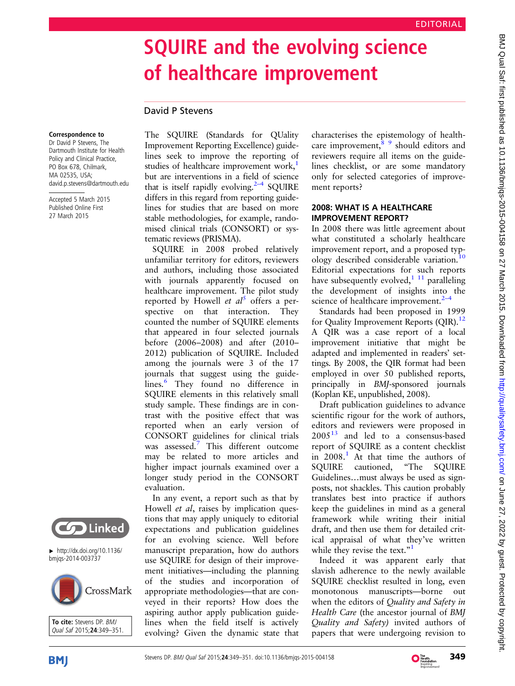# SQUIRE and the evolving science of healthcare improvement

## David P Stevens

#### Correspondence to

Dr David P Stevens, The Dartmouth Institute for Health Policy and Clinical Practice, PO Box 678, Chilmark, MA 02535, USA; david.p.stevens@dartmouth.edu

Accepted 5 March 2015 Published Online First 27 March 2015



SQUIRE in 2008 probed relatively unfamiliar territory for editors, reviewers and authors, including those associated with journals apparently focused on healthcare improvement. The pilot study reported by Howell *et al*<sup>[5](#page-2-0)</sup> offers a perspective on that interaction. They counted the number of SQUIRE elements that appeared in four selected journals before (2006–2008) and after (2010– 2012) publication of SQUIRE. Included among the journals were 3 of the 17 journals that suggest using the guide-lines.<sup>[6](#page-2-0)</sup> They found no difference in SQUIRE elements in this relatively small study sample. These findings are in contrast with the positive effect that was reported when an early version of CONSORT guidelines for clinical trials was assessed.<sup>[7](#page-2-0)</sup> This different outcome may be related to more articles and higher impact journals examined over a longer study period in the CONSORT evaluation.

In any event, a report such as that by Howell *et al*, raises by implication questions that may apply uniquely to editorial expectations and publication guidelines for an evolving science. Well before manuscript preparation, how do authors use SQUIRE for design of their improvement initiatives—including the planning of the studies and incorporation of appropriate methodologies—that are conveyed in their reports? How does the aspiring author apply publication guidelines when the field itself is actively evolving? Given the dynamic state that

characterises the epistemology of healthcare improvement, $\frac{8}{9}$  should editors and reviewers require all items on the guidelines checklist, or are some mandatory only for selected categories of improvement reports?

## 2008: WHAT IS A HEALTHCARE IMPROVEMENT REPORT?

In 2008 there was little agreement about what constituted a scholarly healthcare improvement report, and a proposed typology described considerable variation.[10](#page-2-0) Editorial expectations for such reports have subsequently evolved, $\frac{1}{1}$  paralleling the development of insights into the science of healthcare improvement. $2$ –

Standards had been proposed in 1999 for Quality Improvement Reports (QIR).<sup>12</sup> A QIR was a case report of a local improvement initiative that might be adapted and implemented in readers' settings. By 2008, the QIR format had been employed in over 50 published reports, principally in BMJ-sponsored journals (Koplan KE, unpublished, 2008).

Draft publication guidelines to advance scientific rigour for the work of authors, editors and reviewers were proposed in  $2005<sup>13</sup>$  $2005<sup>13</sup>$  $2005<sup>13</sup>$  and led to a consensus-based report of SQUIRE as a content checklist in  $2008<sup>1</sup>$  $2008<sup>1</sup>$  $2008<sup>1</sup>$ . At that time the authors of SQUIRE cautioned, "The SQUIRE Guidelines…must always be used as signposts, not shackles. This caution probably translates best into practice if authors keep the guidelines in mind as a general framework while writing their initial draft, and then use them for detailed critical appraisal of what they've written while they revise the text."<sup>[1](#page-2-0)</sup>

Indeed it was apparent early that slavish adherence to the newly available SQUIRE checklist resulted in long, even monotonous manuscripts—borne out when the editors of Quality and Safety in Health Care (the ancestor journal of BMJ Quality and Safety) invited authors of papers that were undergoing revision to



▸ [http://dx.doi.org/10.1136/](http://dx.doi.org/10.1136/bmjqs-2014-003737) [bmjqs-2014-003737](http://dx.doi.org/10.1136/bmjqs-2014-003737)





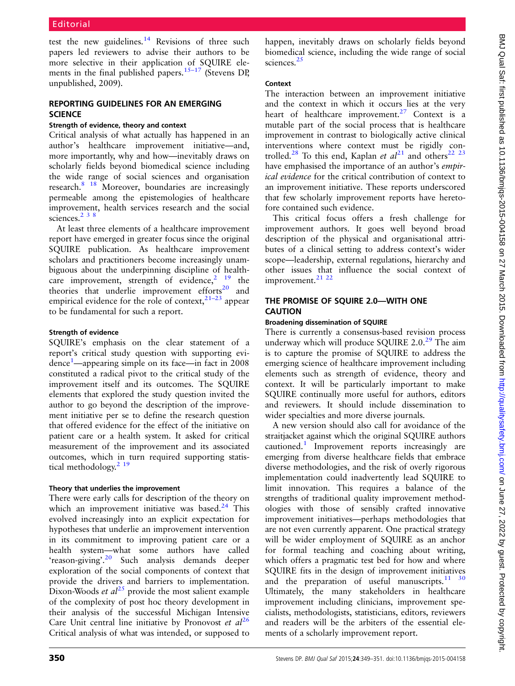test the new guidelines. $14$  Revisions of three such papers led reviewers to advise their authors to be more selective in their application of SQUIRE ele-ments in the final published papers.<sup>15–[17](#page-2-0)</sup> (Stevens DP, unpublished, 2009).

## REPORTING GUIDELINES FOR AN EMERGING **SCIENCE**

### Strength of evidence, theory and context

Critical analysis of what actually has happened in an author's healthcare improvement initiative—and, more importantly, why and how—inevitably draws on scholarly fields beyond biomedical science including the wide range of social sciences and organisation research[.8 18](#page-2-0) Moreover, boundaries are increasingly permeable among the epistemologies of healthcare improvement, health services research and the social sciences. $238$ 

At least three elements of a healthcare improvement report have emerged in greater focus since the original SQUIRE publication. As healthcare improvement scholars and practitioners become increasingly unambiguous about the underpinning discipline of healthcare improvement, strength of evidence,  $2^{19}$  the theories that underlie improvement efforts<sup>[20](#page-2-0)</sup> and empirical evidence for the role of context, $2^{1-23}$  $2^{1-23}$  $2^{1-23}$  appear to be fundamental for such a report.

#### Strength of evidence

SQUIRE's emphasis on the clear statement of a report's critical study question with supporting evi-dence<sup>[1](#page-2-0)</sup>—appearing simple on its face—in fact in 2008 constituted a radical pivot to the critical study of the improvement itself and its outcomes. The SQUIRE elements that explored the study question invited the author to go beyond the description of the improvement initiative per se to define the research question that offered evidence for the effect of the initiative on patient care or a health system. It asked for critical measurement of the improvement and its associated outcomes, which in turn required supporting statistical methodology.<sup>2</sup> <sup>19</sup>

## Theory that underlies the improvement

There were early calls for description of the theory on which an improvement initiative was based. $24$  This evolved increasingly into an explicit expectation for hypotheses that underlie an improvement intervention in its commitment to improving patient care or a health system—what some authors have called 'reason-giving'.<sup>[20](#page-2-0)</sup> Such analysis demands deeper exploration of the social components of context that provide the drivers and barriers to implementation. Dixon-Woods *et al*<sup>[25](#page-2-0)</sup> provide the most salient example of the complexity of post hoc theory development in their analysis of the successful Michigan Intensive Care Unit central line initiative by Pronovost et  $al^{26}$  $al^{26}$  $al^{26}$ Critical analysis of what was intended, or supposed to

happen, inevitably draws on scholarly fields beyond biomedical science, including the wide range of social sciences.<sup>[25](#page-2-0)</sup>

## Context

The interaction between an improvement initiative and the context in which it occurs lies at the very heart of healthcare improvement.<sup>[27](#page-2-0)</sup> Context is a mutable part of the social process that is healthcare improvement in contrast to biologically active clinical interventions where context must be rigidly con-trolled.<sup>[28](#page-2-0)</sup> To this end, Kaplan et  $al^{21}$  $al^{21}$  $al^{21}$  and others<sup>[22 23](#page-2-0)</sup> have emphasised the importance of an author's *empir*ical evidence for the critical contribution of context to an improvement initiative. These reports underscored that few scholarly improvement reports have heretofore contained such evidence.

This critical focus offers a fresh challenge for improvement authors. It goes well beyond broad description of the physical and organisational attributes of a clinical setting to address context's wider scope—leadership, external regulations, hierarchy and other issues that influence the social context of improvement.<sup>21</sup> <sup>22</sup>

## THE PROMISE OF SQUIRE 2.0—WITH ONE CAUTION

### Broadening dissemination of SQUIRE

There is currently a consensus-based revision process underway which will produce SQUIRE  $2.0.^{29}$  $2.0.^{29}$  $2.0.^{29}$  The aim is to capture the promise of SQUIRE to address the emerging science of healthcare improvement including elements such as strength of evidence, theory and context. It will be particularly important to make SQUIRE continually more useful for authors, editors and reviewers. It should include dissemination to wider specialties and more diverse journals.

A new version should also call for avoidance of the straitjacket against which the original SQUIRE authors cautioned.[1](#page-2-0) Improvement reports increasingly are emerging from diverse healthcare fields that embrace diverse methodologies, and the risk of overly rigorous implementation could inadvertently lead SQUIRE to limit innovation. This requires a balance of the strengths of traditional quality improvement methodologies with those of sensibly crafted innovative improvement initiatives—perhaps methodologies that are not even currently apparent. One practical strategy will be wider employment of SQUIRE as an anchor for formal teaching and coaching about writing, which offers a pragmatic test bed for how and where SQUIRE fits in the design of improvement initiatives and the preparation of useful manuscripts. $1130$ Ultimately, the many stakeholders in healthcare improvement including clinicians, improvement specialists, methodologists, statisticians, editors, reviewers and readers will be the arbiters of the essential elements of a scholarly improvement report.